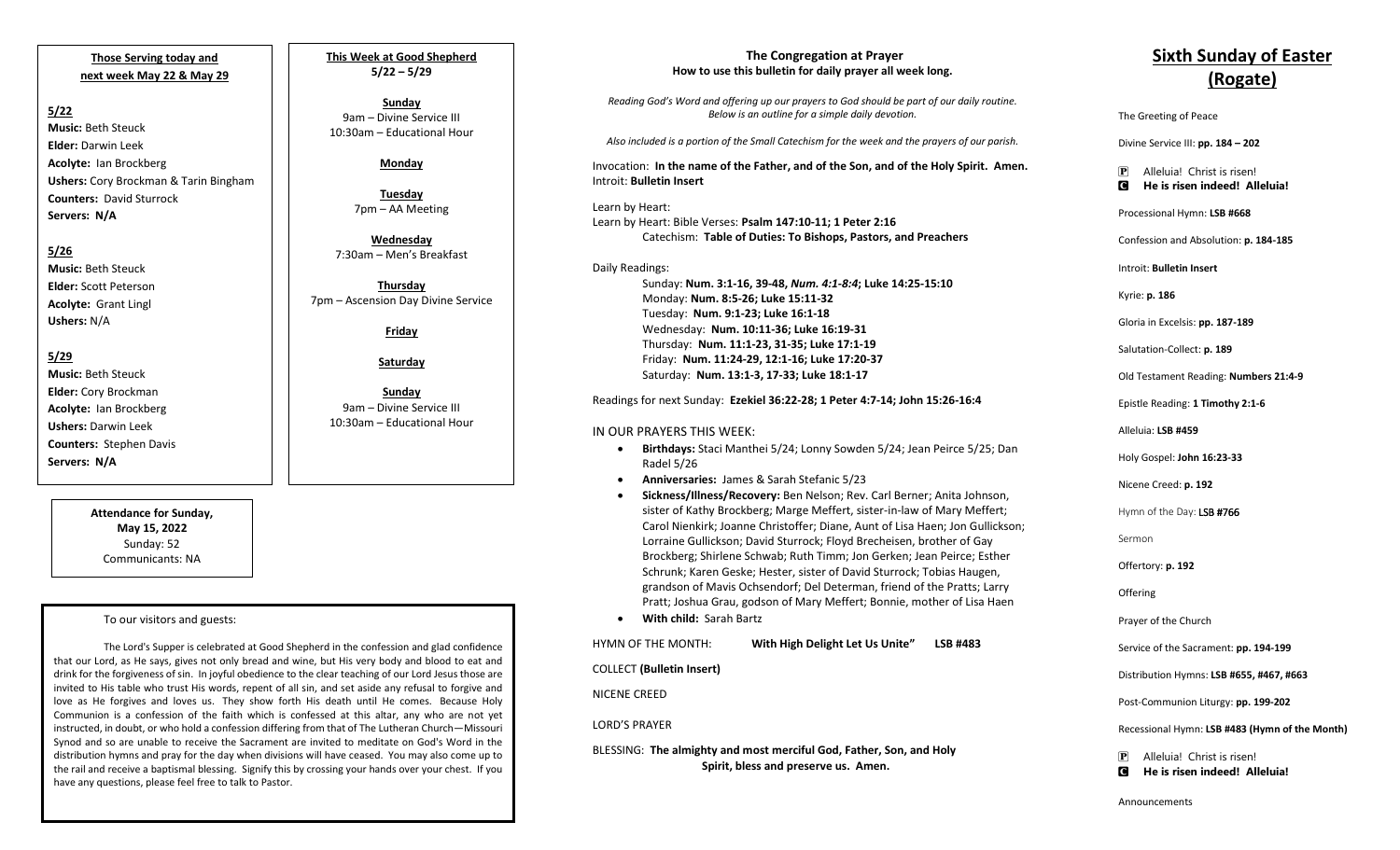**Those Serving today and next week May 22 & May 29**

#### **5/22**

**Music:** Beth Steuck **Elder:** Darwin Leek **Acolyte:** Ian Brockberg **Ushers:** Cory Brockman & Tarin Bingham **Counters:** David Sturrock **Servers: N/A**

## **5/26**

**Music:** Beth Steuck **Elder:** Scott Peterson **Acolyte:** Grant Lingl **Ushers:** N/A

**5/29 Music:** Beth Steuck **Elder:** Cory Brockman **Acolyte:** Ian Brockberg **Ushers:** Darwin Leek **Counters:** Stephen Davis **Servers: N/A**

> **Attendance for Sunday, May 15, 2022** Sunday: 52 Communicants: NA

#### To our visitors and guests:

The Lord's Supper is celebrated at Good Shepherd in the confession and glad confidence that our Lord, as He says, gives not only bread and wine, but His very body and blood to eat and drink for the forgiveness of sin. In joyful obedience to the clear teaching of our Lord Jesus those are invited to His table who trust His words, repent of all sin, and set aside any refusal to forgive and love as He forgives and loves us. They show forth His death until He comes. Because Holy Communion is a confession of the faith which is confessed at this altar, any who are not yet instructed, in doubt, or who hold a confession differing from that of The Lutheran Church—Missouri Synod and so are unable to receive the Sacrament are invited to meditate on God's Word in the distribution hymns and pray for the day when divisions will have ceased. You may also come up to the rail and receive a baptismal blessing. Signify this by crossing your hands over your chest. If you have any questions, please feel free to talk to Pastor.

**This Week at Good Shepherd 5/22 – 5/29**

**Sunday**  9am – Divine Service III 10:30am – Educational Hour

### **Monday**

**Tuesday** 7pm – AA Meeting

**Wednesday** 7:30am – Men's Breakfast

**Thursday** 7pm – Ascension Day Divine Service

**Friday**

**Saturday**

**Sunday**  9am – Divine Service III 10:30am – Educational Hour

#### **The Congregation at Prayer How to use this bulletin for daily prayer all week long.**

*Reading God's Word and offering up our prayers to God should be part of our daily routine. Below is an outline for a simple daily devotion.*

*Also included is a portion of the Small Catechism for the week and the prayers of our parish.*

Invocation: **In the name of the Father, and of the Son, and of the Holy Spirit. Amen.** Introit: **Bulletin Insert**

 Catechism: **Table of Duties: To Bishops, Pastors, and Preachers** Learn by Heart: Learn by Heart: Bible Verses: **Psalm 147:10-11; 1 Peter 2:16**

Daily Readings: Sunday: **Num. 3:1-16, 39-48,** *Num. 4:1-8:4***; Luke 14:25-15:10** Monday: **Num. 8:5-26; Luke 15:11-32** Tuesday: **Num. 9:1-23; Luke 16:1-18** Wednesday: **Num. 10:11-36; Luke 16:19-31** Thursday: **Num. 11:1-23, 31-35; Luke 17:1-19** Friday: **Num. 11:24-29, 12:1-16; Luke 17:20-37** Saturday: **Num. 13:1-3, 17-33; Luke 18:1-17**

Readings for next Sunday: **Ezekiel 36:22-28; 1 Peter 4:7-14; John 15:26-16:4**

#### IN OUR PRAYERS THIS WEEK:

- **Birthdays:** Staci Manthei 5/24; Lonny Sowden 5/24; Jean Peirce 5/25; Dan Radel 5/26
- **Anniversaries:** James & Sarah Stefanic 5/23
- **Sickness/Illness/Recovery:** Ben Nelson; Rev. Carl Berner; Anita Johnson, sister of Kathy Brockberg; Marge Meffert, sister-in-law of Mary Meffert; Carol Nienkirk; Joanne Christoffer; Diane, Aunt of Lisa Haen; Jon Gullickson; Lorraine Gullickson; David Sturrock; Floyd Brecheisen, brother of Gay Brockberg; Shirlene Schwab; Ruth Timm; Jon Gerken; Jean Peirce; Esther Schrunk; Karen Geske; Hester, sister of David Sturrock; Tobias Haugen, grandson of Mavis Ochsendorf; Del Determan, friend of the Pratts; Larry Pratt; Joshua Grau, godson of Mary Meffert; Bonnie, mother of Lisa Haen
- **With child:** Sarah Bartz

HYMN OF THE MONTH: **With High Delight Let Us Unite" LSB #483**

COLLECT **(Bulletin Insert)**

NICENE CREED

#### LORD'S PRAYER

BLESSING: **The almighty and most merciful God, Father, Son, and Holy Spirit, bless and preserve us. Amen.**

# **Sixth Sunday of Easter (Rogate)**

The Greeting of Peace

Divine Service III: **pp. 184 – 202**

P Alleluia! Christ is risen! C **He is risen indeed! Alleluia!**

Processional Hymn: **LSB #668**

Confession and Absolution: **p. 184-185**

Introit: **Bulletin Insert** 

Kyrie: **p. 186**

Gloria in Excelsis: **pp. 187-189**

Salutation-Collect: **p. 189**

Old Testament Reading: **Numbers 21:4-9**

Epistle Reading: **1 Timothy 2:1-6**

Alleluia: **LSB #459**

Holy Gospel: **John 16:23-33**

Nicene Creed: **p. 192**

Hymn of the Day: LSB #766

Sermon

Offertory: **p. 192**

**Offering** 

Prayer of the Church

Service of the Sacrament: **pp. 194-199**

Distribution Hymns: **LSB #655, #467, #663**

Post-Communion Liturgy: **pp. 199-202** 

Recessional Hymn: **LSB #483 (Hymn of the Month)**

P Alleluia! Christ is risen! C **He is risen indeed! Alleluia!**